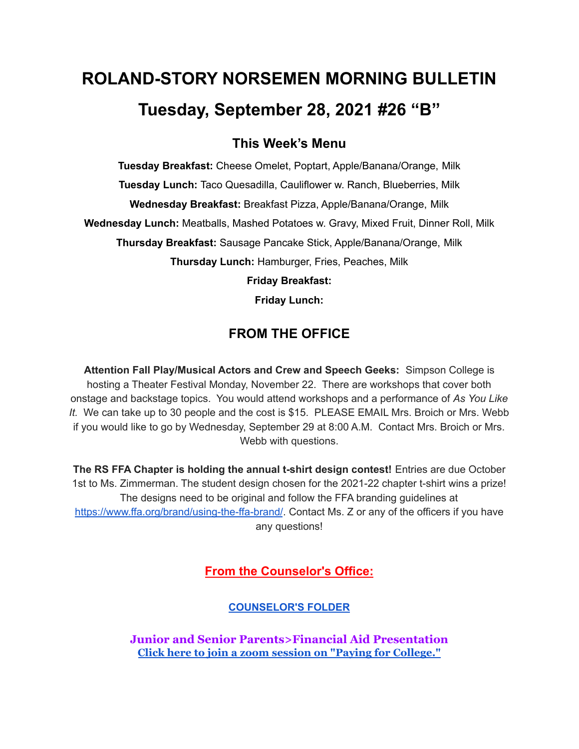# **ROLAND-STORY NORSEMEN MORNING BULLETIN Tuesday, September 28, 2021 #26 "B"**

## **This Week's Menu**

**Tuesday Breakfast:** Cheese Omelet, Poptart, Apple/Banana/Orange, Milk **Tuesday Lunch:** Taco Quesadilla, Cauliflower w. Ranch, Blueberries, Milk **Wednesday Breakfast:** Breakfast Pizza, Apple/Banana/Orange, Milk **Wednesday Lunch:** Meatballs, Mashed Potatoes w. Gravy, Mixed Fruit, Dinner Roll, Milk **Thursday Breakfast:** Sausage Pancake Stick, Apple/Banana/Orange, Milk **Thursday Lunch:** Hamburger, Fries, Peaches, Milk **Friday Breakfast:**

**Friday Lunch:**

## **FROM THE OFFICE**

**Attention Fall Play/Musical Actors and Crew and Speech Geeks:** Simpson College is hosting a Theater Festival Monday, November 22. There are workshops that cover both onstage and backstage topics. You would attend workshops and a performance of *As You Like It.* We can take up to 30 people and the cost is \$15. PLEASE EMAIL Mrs. Broich or Mrs. Webb if you would like to go by Wednesday, September 29 at 8:00 A.M. Contact Mrs. Broich or Mrs. Webb with questions.

**The RS FFA Chapter is holding the annual t-shirt design contest!** Entries are due October 1st to Ms. Zimmerman. The student design chosen for the 2021-22 chapter t-shirt wins a prize! The designs need to be original and follow the FFA branding guidelines at <https://www.ffa.org/brand/using-the-ffa-brand/>. Contact Ms. Z or any of the officers if you have any questions!

**From the Counselor's Office:**

**[COUNSELOR'S](https://docs.google.com/document/d/1vmwczNPbDzXe9vFaG5LJMQ7NYDv-i4oQJHybqA65TUc/edit?usp=sharing) FOLDER**

**Junior and Senior Parents>Financial Aid Presentation Click here to join a zoom session on "Paying for [College."](https://www.icansucceed.org/about-ican/services/presentations/ican-events-and-presentations/how-to-pay-for-college-understanding-financial-aid-6bb108)**